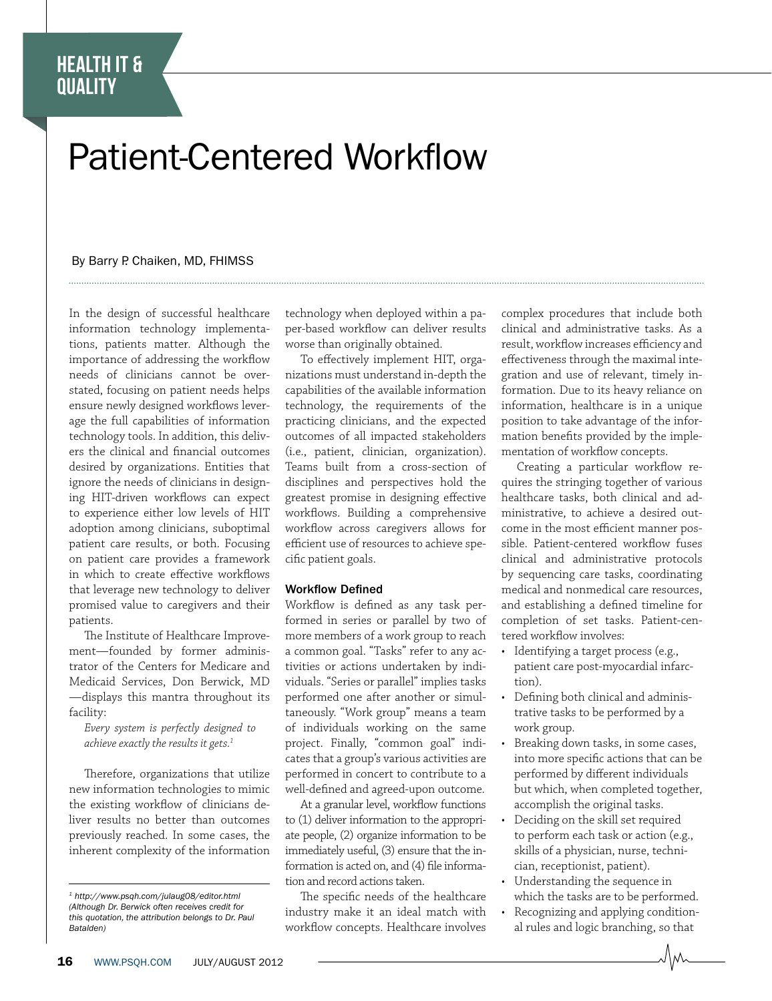## health it & **QUALITY**

# Patient-Centered Workflow

### By Barry P. Chaiken, MD, FHIMSS

In the design of successful healthcare information technology implementations, patients matter. Although the importance of addressing the workflow needs of clinicians cannot be overstated, focusing on patient needs helps ensure newly designed workflows leverage the full capabilities of information technology tools. In addition, this delivers the clinical and financial outcomes desired by organizations. Entities that ignore the needs of clinicians in designing HIT-driven workflows can expect to experience either low levels of HIT adoption among clinicians, suboptimal patient care results, or both. Focusing on patient care provides a framework in which to create effective workflows that leverage new technology to deliver promised value to caregivers and their patients.

The Institute of Healthcare Improvement—founded by former administrator of the Centers for Medicare and Medicaid Services, Don Berwick, MD —displays this mantra throughout its facility:

*Every system is perfectly designed to achieve exactly the results it gets.1*

Therefore, organizations that utilize new information technologies to mimic the existing workflow of clinicians deliver results no better than outcomes previously reached. In some cases, the inherent complexity of the information

technology when deployed within a paper-based workflow can deliver results worse than originally obtained.

To effectively implement HIT, organizations must understand in-depth the capabilities of the available information technology, the requirements of the practicing clinicians, and the expected outcomes of all impacted stakeholders (i.e., patient, clinician, organization). Teams built from a cross-section of disciplines and perspectives hold the greatest promise in designing effective workflows. Building a comprehensive workflow across caregivers allows for efficient use of resources to achieve specific patient goals.

#### Workflow Defined

Workflow is defined as any task performed in series or parallel by two of more members of a work group to reach a common goal. "Tasks" refer to any activities or actions undertaken by individuals. "Series or parallel" implies tasks performed one after another or simultaneously. "Work group" means a team of individuals working on the same project. Finally, "common goal" indicates that a group's various activities are performed in concert to contribute to a well-defined and agreed-upon outcome.

At a granular level, workflow functions to (1) deliver information to the appropriate people, (2) organize information to be immediately useful, (3) ensure that the information is acted on, and (4) file information and record actions taken.

The specific needs of the healthcare industry make it an ideal match with workflow concepts. Healthcare involves complex procedures that include both clinical and administrative tasks. As a result, workflow increases efficiency and effectiveness through the maximal integration and use of relevant, timely information. Due to its heavy reliance on information, healthcare is in a unique position to take advantage of the information benefits provided by the implementation of workflow concepts.

Creating a particular workflow requires the stringing together of various healthcare tasks, both clinical and administrative, to achieve a desired outcome in the most efficient manner possible. Patient-centered workflow fuses clinical and administrative protocols by sequencing care tasks, coordinating medical and nonmedical care resources, and establishing a defined timeline for completion of set tasks. Patient-centered workflow involves:

- Identifying a target process (e.g., patient care post-myocardial infarction).
- Defining both clinical and administrative tasks to be performed by a work group.
- Breaking down tasks, in some cases, into more specific actions that can be performed by different individuals but which, when completed together, accomplish the original tasks.
- Deciding on the skill set required to perform each task or action (e.g., skills of a physician, nurse, technician, receptionist, patient).
- Understanding the sequence in which the tasks are to be performed.
- Recognizing and applying conditional rules and logic branching, so that

*<sup>1</sup> http://www.psqh.com/julaug08/editor.html (Although Dr. Berwick often receives credit for this quotation, the attribution belongs to Dr. Paul Batalden)*